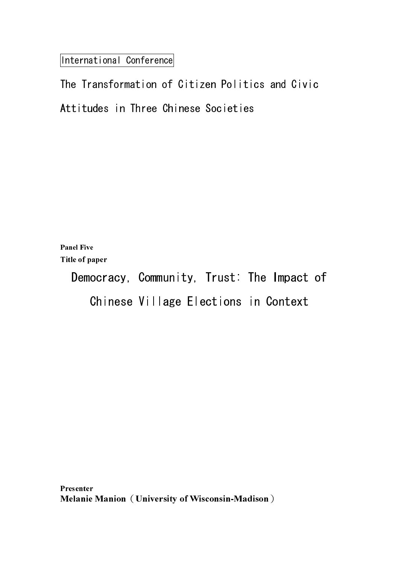International Conference

Panel Five Title of paper

> Democracy, Community, Trust: The Impact of Chinese Village Elections in Context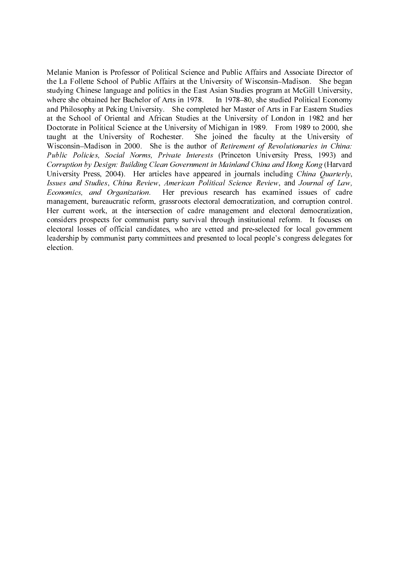Melanie Manion is Professor of Political Science and Public Affairs and Associate Director of the La Follette School of Public Affairs at the University of Wisconsin–Madison. She began studying Chinese language and politics in the East Asian Studies program at McGill University, where she obtained her Bachelor of Arts in 1978. In 1978–80, she studied Political Economy and Philosophy at Peking University. She completed her Master of Arts in Far Eastern Studies at the School of Oriental and African Studies at the University of London in 1982 and her Doctorate in Political Science at the University of Michigan in 1989. From 1989 to 2000, she taught at the University of Rochester. She joined the faculty at the University of Wisconsin–Madison in 2000. She is the author of Retirement of Revolutionaries in China: Public Policies, Social Norms, Private Interests (Princeton University Press, 1993) and Corruption by Design: Building Clean Government in Mainland China and Hong Kong (Harvard University Press, 2004). Her articles have appeared in journals including *China Quarterly*, Issues and Studies, China Review, American Political Science Review, and Journal of Law, Economics, and Organization. Her previous research has examined issues of cadre management, bureaucratic reform, grassroots electoral democratization, and corruption control. Her current work, at the intersection of cadre management and electoral democratization, considers prospects for communist party survival through institutional reform. It focuses on electoral losses of official candidates, who are vetted and pre-selected for local government leadership by communist party committees and presented to local people's congress delegates for election.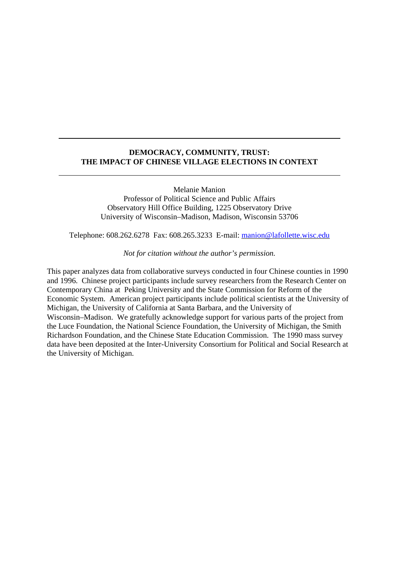# **DEMOCRACY, COMMUNITY, TRUST: THE IMPACT OF CHINESE VILLAGE ELECTIONS IN CONTEXT**

Melanie Manion

Professor of Political Science and Public Affairs Observatory Hill Office Building, 1225 Observatory Drive University of Wisconsin–Madison, Madison, Wisconsin 53706

Telephone: 608.262.6278 Fax: 608.265.3233 E-mail: manion@lafollette.wisc.edu

*Not for citation without the author's permission.*

This paper analyzes data from collaborative surveys conducted in four Chinese counties in 1990 and 1996. Chinese project participants include survey researchers from the Research Center on Contemporary China at Peking University and the State Commission for Reform of the Economic System. American project participants include political scientists at the University of Michigan, the University of California at Santa Barbara, and the University of Wisconsin–Madison. We gratefully acknowledge support for various parts of the project from the Luce Foundation, the National Science Foundation, the University of Michigan, the Smith Richardson Foundation, and the Chinese State Education Commission. The 1990 mass survey data have been deposited at the Inter-University Consortium for Political and Social Research at the University of Michigan.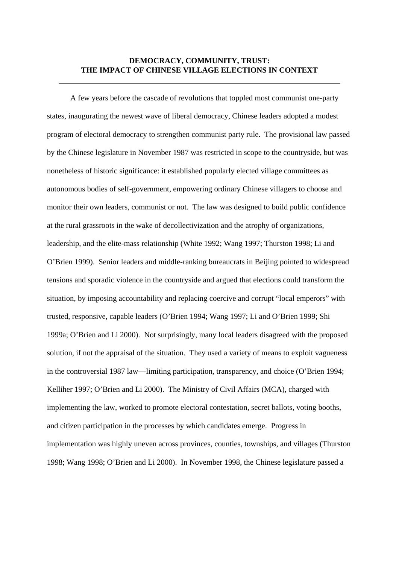# **DEMOCRACY, COMMUNITY, TRUST: THE IMPACT OF CHINESE VILLAGE ELECTIONS IN CONTEXT**

A few years before the cascade of revolutions that toppled most communist one-party states, inaugurating the newest wave of liberal democracy, Chinese leaders adopted a modest program of electoral democracy to strengthen communist party rule. The provisional law passed by the Chinese legislature in November 1987 was restricted in scope to the countryside, but was nonetheless of historic significance: it established popularly elected village committees as autonomous bodies of self-government, empowering ordinary Chinese villagers to choose and monitor their own leaders, communist or not. The law was designed to build public confidence at the rural grassroots in the wake of decollectivization and the atrophy of organizations, leadership, and the elite-mass relationship (White 1992; Wang 1997; Thurston 1998; Li and O'Brien 1999). Senior leaders and middle-ranking bureaucrats in Beijing pointed to widespread tensions and sporadic violence in the countryside and argued that elections could transform the situation, by imposing accountability and replacing coercive and corrupt "local emperors" with trusted, responsive, capable leaders (O'Brien 1994; Wang 1997; Li and O'Brien 1999; Shi 1999a; O'Brien and Li 2000). Not surprisingly, many local leaders disagreed with the proposed solution, if not the appraisal of the situation. They used a variety of means to exploit vagueness in the controversial 1987 law—limiting participation, transparency, and choice (O'Brien 1994; Kelliher 1997; O'Brien and Li 2000). The Ministry of Civil Affairs (MCA), charged with implementing the law, worked to promote electoral contestation, secret ballots, voting booths, and citizen participation in the processes by which candidates emerge. Progress in implementation was highly uneven across provinces, counties, townships, and villages (Thurston 1998; Wang 1998; O'Brien and Li 2000). In November 1998, the Chinese legislature passed a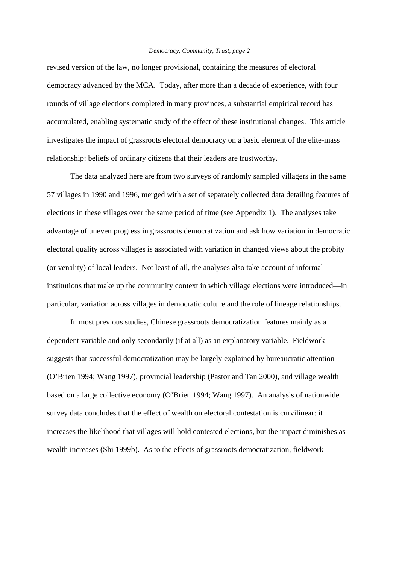revised version of the law, no longer provisional, containing the measures of electoral democracy advanced by the MCA. Today, after more than a decade of experience, with four rounds of village elections completed in many provinces, a substantial empirical record has accumulated, enabling systematic study of the effect of these institutional changes. This article investigates the impact of grassroots electoral democracy on a basic element of the elite-mass relationship: beliefs of ordinary citizens that their leaders are trustworthy.

The data analyzed here are from two surveys of randomly sampled villagers in the same 57 villages in 1990 and 1996, merged with a set of separately collected data detailing features of elections in these villages over the same period of time (see Appendix 1). The analyses take advantage of uneven progress in grassroots democratization and ask how variation in democratic electoral quality across villages is associated with variation in changed views about the probity (or venality) of local leaders. Not least of all, the analyses also take account of informal institutions that make up the community context in which village elections were introduced—in particular, variation across villages in democratic culture and the role of lineage relationships.

In most previous studies, Chinese grassroots democratization features mainly as a dependent variable and only secondarily (if at all) as an explanatory variable. Fieldwork suggests that successful democratization may be largely explained by bureaucratic attention (O'Brien 1994; Wang 1997), provincial leadership (Pastor and Tan 2000), and village wealth based on a large collective economy (O'Brien 1994; Wang 1997). An analysis of nationwide survey data concludes that the effect of wealth on electoral contestation is curvilinear: it increases the likelihood that villages will hold contested elections, but the impact diminishes as wealth increases (Shi 1999b). As to the effects of grassroots democratization, fieldwork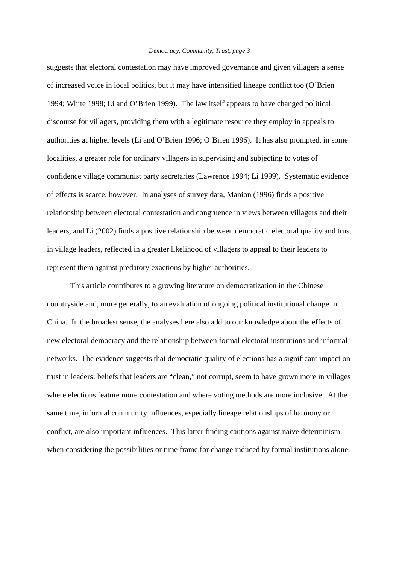suggests that electoral contestation may have improved governance and given villagers a sense of increased voice in local politics, but it may have intensified lineage conflict too (O'Brien 1994; White 1998; Li and O'Brien 1999). The law itself appears to have changed political discourse for villagers, providing them with a legitimate resource they employ in appeals to authorities at higher levels (Li and O'Brien 1996; O'Brien 1996). It has also prompted, in some localities, a greater role for ordinary villagers in supervising and subjecting to votes of confidence village communist party secretaries (Lawrence 1994; Li 1999). Systematic evidence of effects is scarce, however. In analyses of survey data, Manion (1996) finds a positive relationship between electoral contestation and congruence in views between villagers and their leaders, and Li (2002) finds a positive relationship between democratic electoral quality and trust in village leaders, reflected in a greater likelihood of villagers to appeal to their leaders to represent them against predatory exactions by higher authorities.

This article contributes to a growing literature on democratization in the Chinese countryside and, more generally, to an evaluation of ongoing political institutional change in China. In the broadest sense, the analyses here also add to our knowledge about the effects of new electoral democracy and the relationship between formal electoral institutions and informal networks. The evidence suggests that democratic quality of elections has a significant impact on trust in leaders: beliefs that leaders are "clean," not corrupt, seem to have grown more in villages where elections feature more contestation and where voting methods are more inclusive. At the same time, informal community influences, especially lineage relationships of harmony or conflict, are also important influences. This latter finding cautions against naive determinism when considering the possibilities or time frame for change induced by formal institutions alone.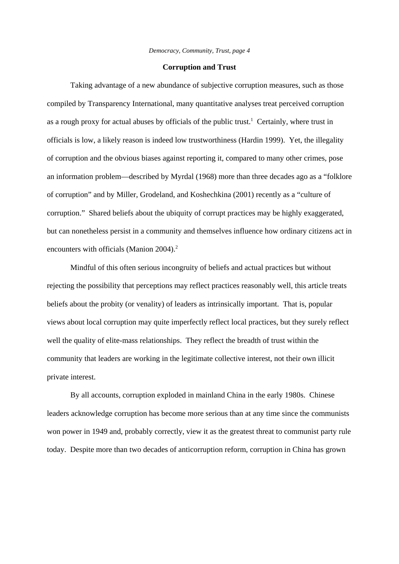#### **Corruption and Trust**

Taking advantage of a new abundance of subjective corruption measures, such as those compiled by Transparency International, many quantitative analyses treat perceived corruption as a rough proxy for actual abuses by officials of the public trust.<sup>1</sup> Certainly, where trust in officials is low, a likely reason is indeed low trustworthiness (Hardin 1999). Yet, the illegality of corruption and the obvious biases against reporting it, compared to many other crimes, pose an information problem—described by Myrdal (1968) more than three decades ago as a "folklore of corruption" and by Miller, Grodeland, and Koshechkina (2001) recently as a "culture of corruption." Shared beliefs about the ubiquity of corrupt practices may be highly exaggerated, but can nonetheless persist in a community and themselves influence how ordinary citizens act in encounters with officials (Manion 2004).<sup>2</sup>

Mindful of this often serious incongruity of beliefs and actual practices but without rejecting the possibility that perceptions may reflect practices reasonably well, this article treats beliefs about the probity (or venality) of leaders as intrinsically important. That is, popular views about local corruption may quite imperfectly reflect local practices, but they surely reflect well the quality of elite-mass relationships. They reflect the breadth of trust within the community that leaders are working in the legitimate collective interest, not their own illicit private interest.

By all accounts, corruption exploded in mainland China in the early 1980s. Chinese leaders acknowledge corruption has become more serious than at any time since the communists won power in 1949 and, probably correctly, view it as the greatest threat to communist party rule today. Despite more than two decades of anticorruption reform, corruption in China has grown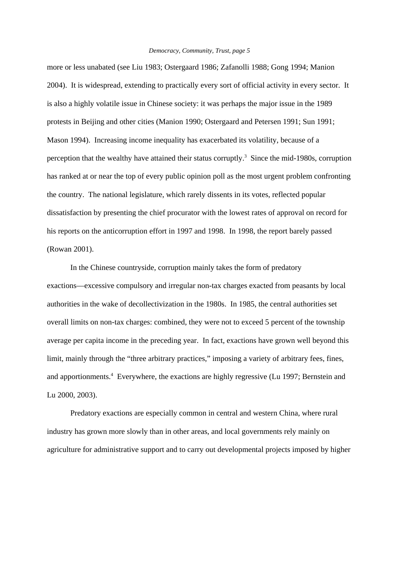more or less unabated (see Liu 1983; Ostergaard 1986; Zafanolli 1988; Gong 1994; Manion 2004). It is widespread, extending to practically every sort of official activity in every sector. It is also a highly volatile issue in Chinese society: it was perhaps the major issue in the 1989 protests in Beijing and other cities (Manion 1990; Ostergaard and Petersen 1991; Sun 1991; Mason 1994). Increasing income inequality has exacerbated its volatility, because of a perception that the wealthy have attained their status corruptly.<sup>3</sup> Since the mid-1980s, corruption has ranked at or near the top of every public opinion poll as the most urgent problem confronting the country. The national legislature, which rarely dissents in its votes, reflected popular dissatisfaction by presenting the chief procurator with the lowest rates of approval on record for his reports on the anticorruption effort in 1997 and 1998. In 1998, the report barely passed (Rowan 2001).

In the Chinese countryside, corruption mainly takes the form of predatory exactions—excessive compulsory and irregular non-tax charges exacted from peasants by local authorities in the wake of decollectivization in the 1980s. In 1985, the central authorities set overall limits on non-tax charges: combined, they were not to exceed 5 percent of the township average per capita income in the preceding year. In fact, exactions have grown well beyond this limit, mainly through the "three arbitrary practices," imposing a variety of arbitrary fees, fines, and apportionments.<sup>4</sup> Everywhere, the exactions are highly regressive (Lu 1997; Bernstein and Lu 2000, 2003).

Predatory exactions are especially common in central and western China, where rural industry has grown more slowly than in other areas, and local governments rely mainly on agriculture for administrative support and to carry out developmental projects imposed by higher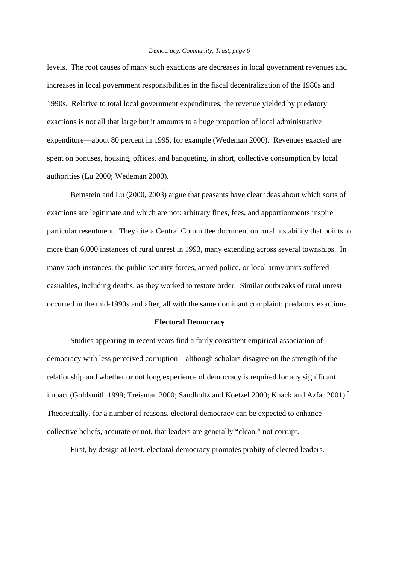levels. The root causes of many such exactions are decreases in local government revenues and increases in local government responsibilities in the fiscal decentralization of the 1980s and 1990s. Relative to total local government expenditures, the revenue yielded by predatory exactions is not all that large but it amounts to a huge proportion of local administrative expenditure—about 80 percent in 1995, for example (Wedeman 2000). Revenues exacted are spent on bonuses, housing, offices, and banqueting, in short, collective consumption by local authorities (Lu 2000; Wedeman 2000).

Bernstein and Lu (2000, 2003) argue that peasants have clear ideas about which sorts of exactions are legitimate and which are not: arbitrary fines, fees, and apportionments inspire particular resentment. They cite a Central Committee document on rural instability that points to more than 6,000 instances of rural unrest in 1993, many extending across several townships. In many such instances, the public security forces, armed police, or local army units suffered casualties, including deaths, as they worked to restore order. Similar outbreaks of rural unrest occurred in the mid-1990s and after, all with the same dominant complaint: predatory exactions.

# **Electoral Democracy**

Studies appearing in recent years find a fairly consistent empirical association of democracy with less perceived corruption—although scholars disagree on the strength of the relationship and whether or not long experience of democracy is required for any significant impact (Goldsmith 1999; Treisman 2000; Sandholtz and Koetzel 2000; Knack and Azfar 2001).<sup>5</sup> Theoretically, for a number of reasons, electoral democracy can be expected to enhance collective beliefs, accurate or not, that leaders are generally "clean," not corrupt.

First, by design at least, electoral democracy promotes probity of elected leaders.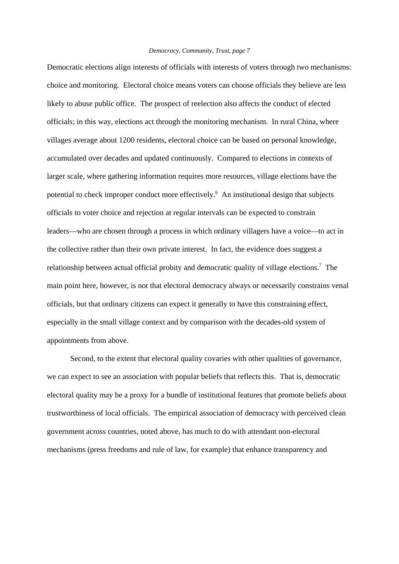Democratic elections align interests of officials with interests of voters through two mechanisms: choice and monitoring. Electoral choice means voters can choose officials they believe are less likely to abuse public office. The prospect of reelection also affects the conduct of elected officials; in this way, elections act through the monitoring mechanism. In rural China, where villages average about 1200 residents, electoral choice can be based on personal knowledge, accumulated over decades and updated continuously. Compared to elections in contexts of larger scale, where gathering information requires more resources, village elections have the potential to check improper conduct more effectively.<sup>6</sup> An institutional design that subjects officials to voter choice and rejection at regular intervals can be expected to constrain leaders—who are chosen through a process in which ordinary villagers have a voice—to act in the collective rather than their own private interest. In fact, the evidence does suggest a relationship between actual official probity and democratic quality of village elections.<sup>7</sup> The main point here, however, is not that electoral democracy always or necessarily constrains venal officials, but that ordinary citizens can expect it generally to have this constraining effect, especially in the small village context and by comparison with the decades-old system of appointments from above.

Second, to the extent that electoral quality covaries with other qualities of governance, we can expect to see an association with popular beliefs that reflects this. That is, democratic electoral quality may be a proxy for a bundle of institutional features that promote beliefs about trustworthiness of local officials. The empirical association of democracy with perceived clean government across countries, noted above, has much to do with attendant non-electoral mechanisms (press freedoms and rule of law, for example) that enhance transparency and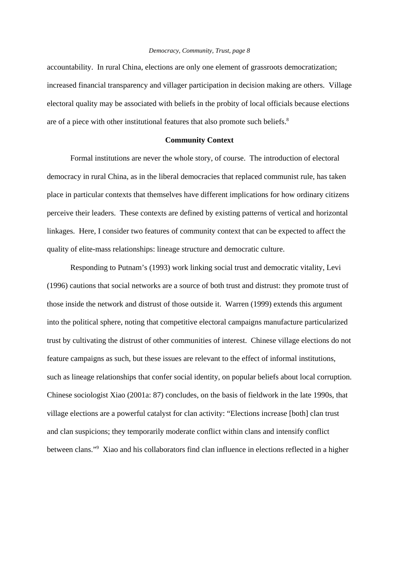accountability. In rural China, elections are only one element of grassroots democratization; increased financial transparency and villager participation in decision making are others. Village electoral quality may be associated with beliefs in the probity of local officials because elections are of a piece with other institutional features that also promote such beliefs.<sup>8</sup>

#### **Community Context**

Formal institutions are never the whole story, of course. The introduction of electoral democracy in rural China, as in the liberal democracies that replaced communist rule, has taken place in particular contexts that themselves have different implications for how ordinary citizens perceive their leaders. These contexts are defined by existing patterns of vertical and horizontal linkages. Here, I consider two features of community context that can be expected to affect the quality of elite-mass relationships: lineage structure and democratic culture.

Responding to Putnam's (1993) work linking social trust and democratic vitality, Levi (1996) cautions that social networks are a source of both trust and distrust: they promote trust of those inside the network and distrust of those outside it. Warren (1999) extends this argument into the political sphere, noting that competitive electoral campaigns manufacture particularized trust by cultivating the distrust of other communities of interest. Chinese village elections do not feature campaigns as such, but these issues are relevant to the effect of informal institutions, such as lineage relationships that confer social identity, on popular beliefs about local corruption. Chinese sociologist Xiao (2001a: 87) concludes, on the basis of fieldwork in the late 1990s, that village elections are a powerful catalyst for clan activity: "Elections increase [both] clan trust and clan suspicions; they temporarily moderate conflict within clans and intensify conflict between clans."<sup>9</sup> Xiao and his collaborators find clan influence in elections reflected in a higher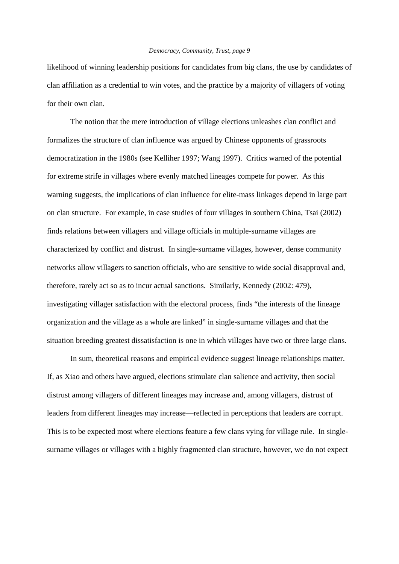likelihood of winning leadership positions for candidates from big clans, the use by candidates of clan affiliation as a credential to win votes, and the practice by a majority of villagers of voting for their own clan.

The notion that the mere introduction of village elections unleashes clan conflict and formalizes the structure of clan influence was argued by Chinese opponents of grassroots democratization in the 1980s (see Kelliher 1997; Wang 1997). Critics warned of the potential for extreme strife in villages where evenly matched lineages compete for power. As this warning suggests, the implications of clan influence for elite-mass linkages depend in large part on clan structure. For example, in case studies of four villages in southern China, Tsai (2002) finds relations between villagers and village officials in multiple-surname villages are characterized by conflict and distrust. In single-surname villages, however, dense community networks allow villagers to sanction officials, who are sensitive to wide social disapproval and, therefore, rarely act so as to incur actual sanctions. Similarly, Kennedy (2002: 479), investigating villager satisfaction with the electoral process, finds "the interests of the lineage organization and the village as a whole are linked" in single-surname villages and that the situation breeding greatest dissatisfaction is one in which villages have two or three large clans.

In sum, theoretical reasons and empirical evidence suggest lineage relationships matter. If, as Xiao and others have argued, elections stimulate clan salience and activity, then social distrust among villagers of different lineages may increase and, among villagers, distrust of leaders from different lineages may increase—reflected in perceptions that leaders are corrupt. This is to be expected most where elections feature a few clans vying for village rule. In singlesurname villages or villages with a highly fragmented clan structure, however, we do not expect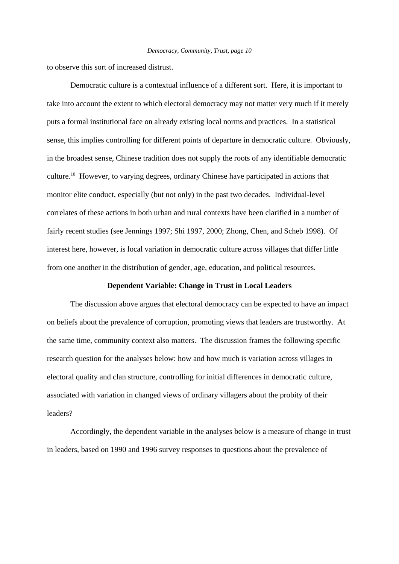to observe this sort of increased distrust.

Democratic culture is a contextual influence of a different sort. Here, it is important to take into account the extent to which electoral democracy may not matter very much if it merely puts a formal institutional face on already existing local norms and practices. In a statistical sense, this implies controlling for different points of departure in democratic culture. Obviously, in the broadest sense, Chinese tradition does not supply the roots of any identifiable democratic culture.10 However, to varying degrees, ordinary Chinese have participated in actions that monitor elite conduct, especially (but not only) in the past two decades. Individual-level correlates of these actions in both urban and rural contexts have been clarified in a number of fairly recent studies (see Jennings 1997; Shi 1997, 2000; Zhong, Chen, and Scheb 1998). Of interest here, however, is local variation in democratic culture across villages that differ little from one another in the distribution of gender, age, education, and political resources.

## **Dependent Variable: Change in Trust in Local Leaders**

The discussion above argues that electoral democracy can be expected to have an impact on beliefs about the prevalence of corruption, promoting views that leaders are trustworthy. At the same time, community context also matters. The discussion frames the following specific research question for the analyses below: how and how much is variation across villages in electoral quality and clan structure, controlling for initial differences in democratic culture, associated with variation in changed views of ordinary villagers about the probity of their leaders?

Accordingly, the dependent variable in the analyses below is a measure of change in trust in leaders, based on 1990 and 1996 survey responses to questions about the prevalence of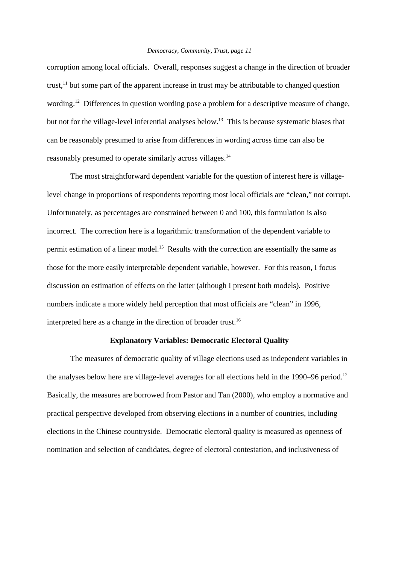corruption among local officials. Overall, responses suggest a change in the direction of broader trust,<sup>11</sup> but some part of the apparent increase in trust may be attributable to changed question wording.<sup>12</sup> Differences in question wording pose a problem for a descriptive measure of change, but not for the village-level inferential analyses below.<sup>13</sup> This is because systematic biases that can be reasonably presumed to arise from differences in wording across time can also be reasonably presumed to operate similarly across villages.14

The most straightforward dependent variable for the question of interest here is villagelevel change in proportions of respondents reporting most local officials are "clean," not corrupt. Unfortunately, as percentages are constrained between 0 and 100, this formulation is also incorrect. The correction here is a logarithmic transformation of the dependent variable to permit estimation of a linear model.<sup>15</sup> Results with the correction are essentially the same as those for the more easily interpretable dependent variable, however. For this reason, I focus discussion on estimation of effects on the latter (although I present both models). Positive numbers indicate a more widely held perception that most officials are "clean" in 1996, interpreted here as a change in the direction of broader trust.16

## **Explanatory Variables: Democratic Electoral Quality**

The measures of democratic quality of village elections used as independent variables in the analyses below here are village-level averages for all elections held in the 1990–96 period.<sup>17</sup> Basically, the measures are borrowed from Pastor and Tan (2000), who employ a normative and practical perspective developed from observing elections in a number of countries, including elections in the Chinese countryside. Democratic electoral quality is measured as openness of nomination and selection of candidates, degree of electoral contestation, and inclusiveness of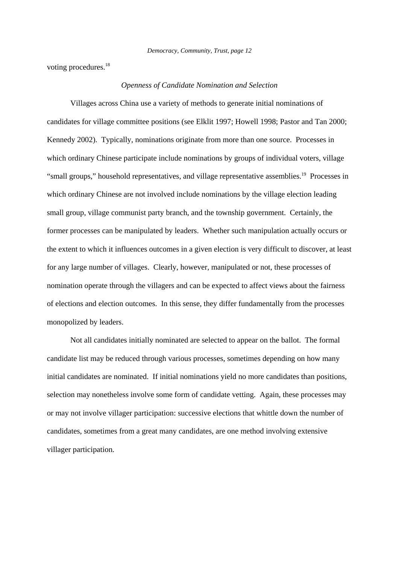voting procedures.<sup>18</sup>

# *Openness of Candidate Nomination and Selection*

Villages across China use a variety of methods to generate initial nominations of candidates for village committee positions (see Elklit 1997; Howell 1998; Pastor and Tan 2000; Kennedy 2002). Typically, nominations originate from more than one source. Processes in which ordinary Chinese participate include nominations by groups of individual voters, village "small groups," household representatives, and village representative assemblies.19 Processes in which ordinary Chinese are not involved include nominations by the village election leading small group, village communist party branch, and the township government. Certainly, the former processes can be manipulated by leaders. Whether such manipulation actually occurs or the extent to which it influences outcomes in a given election is very difficult to discover, at least for any large number of villages. Clearly, however, manipulated or not, these processes of nomination operate through the villagers and can be expected to affect views about the fairness of elections and election outcomes. In this sense, they differ fundamentally from the processes monopolized by leaders.

Not all candidates initially nominated are selected to appear on the ballot. The formal candidate list may be reduced through various processes, sometimes depending on how many initial candidates are nominated. If initial nominations yield no more candidates than positions, selection may nonetheless involve some form of candidate vetting. Again, these processes may or may not involve villager participation: successive elections that whittle down the number of candidates, sometimes from a great many candidates, are one method involving extensive villager participation.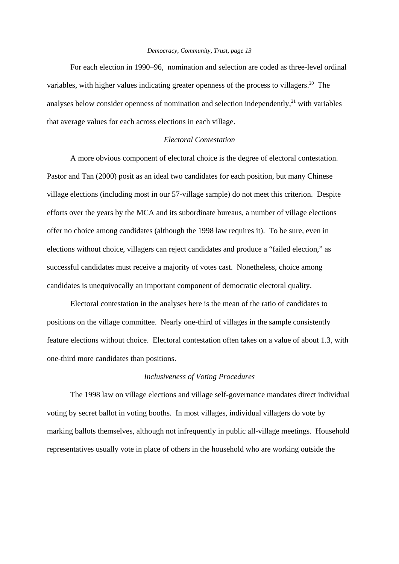For each election in 1990–96, nomination and selection are coded as three-level ordinal variables, with higher values indicating greater openness of the process to villagers.<sup>20</sup> The analyses below consider openness of nomination and selection independently,<sup>21</sup> with variables that average values for each across elections in each village.

## *Electoral Contestation*

A more obvious component of electoral choice is the degree of electoral contestation. Pastor and Tan (2000) posit as an ideal two candidates for each position, but many Chinese village elections (including most in our 57-village sample) do not meet this criterion. Despite efforts over the years by the MCA and its subordinate bureaus, a number of village elections offer no choice among candidates (although the 1998 law requires it). To be sure, even in elections without choice, villagers can reject candidates and produce a "failed election," as successful candidates must receive a majority of votes cast. Nonetheless, choice among candidates is unequivocally an important component of democratic electoral quality.

Electoral contestation in the analyses here is the mean of the ratio of candidates to positions on the village committee. Nearly one-third of villages in the sample consistently feature elections without choice. Electoral contestation often takes on a value of about 1.3, with one-third more candidates than positions.

# *Inclusiveness of Voting Procedures*

The 1998 law on village elections and village self-governance mandates direct individual voting by secret ballot in voting booths. In most villages, individual villagers do vote by marking ballots themselves, although not infrequently in public all-village meetings. Household representatives usually vote in place of others in the household who are working outside the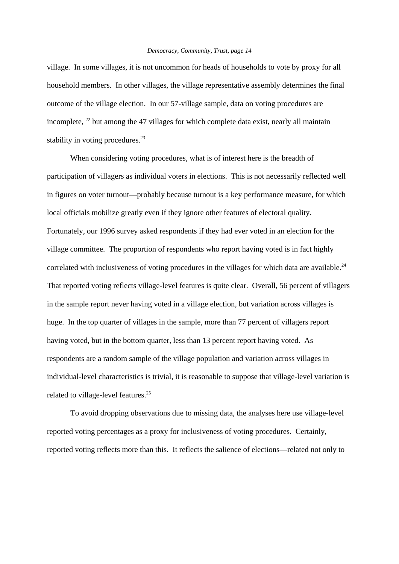village. In some villages, it is not uncommon for heads of households to vote by proxy for all household members. In other villages, the village representative assembly determines the final outcome of the village election. In our 57-village sample, data on voting procedures are incomplete,  $^{22}$  but among the 47 villages for which complete data exist, nearly all maintain stability in voting procedures.<sup>23</sup>

When considering voting procedures, what is of interest here is the breadth of participation of villagers as individual voters in elections. This is not necessarily reflected well in figures on voter turnout—probably because turnout is a key performance measure, for which local officials mobilize greatly even if they ignore other features of electoral quality. Fortunately, our 1996 survey asked respondents if they had ever voted in an election for the village committee. The proportion of respondents who report having voted is in fact highly correlated with inclusiveness of voting procedures in the villages for which data are available.<sup>24</sup> That reported voting reflects village-level features is quite clear. Overall, 56 percent of villagers in the sample report never having voted in a village election, but variation across villages is huge. In the top quarter of villages in the sample, more than 77 percent of villagers report having voted, but in the bottom quarter, less than 13 percent report having voted. As respondents are a random sample of the village population and variation across villages in individual-level characteristics is trivial, it is reasonable to suppose that village-level variation is related to village-level features.25

To avoid dropping observations due to missing data, the analyses here use village-level reported voting percentages as a proxy for inclusiveness of voting procedures. Certainly, reported voting reflects more than this. It reflects the salience of elections—related not only to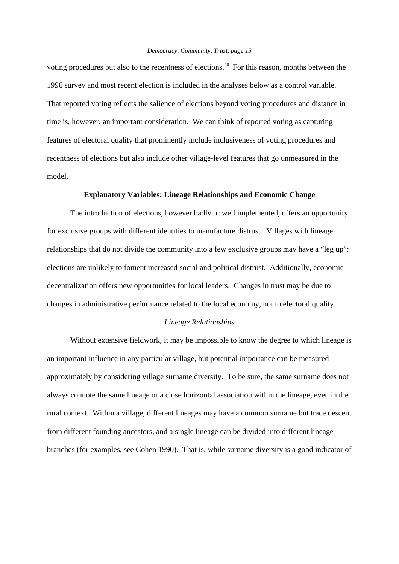voting procedures but also to the recentness of elections.<sup>26</sup> For this reason, months between the 1996 survey and most recent election is included in the analyses below as a control variable. That reported voting reflects the salience of elections beyond voting procedures and distance in time is, however, an important consideration. We can think of reported voting as capturing features of electoral quality that prominently include inclusiveness of voting procedures and recentness of elections but also include other village-level features that go unmeasured in the model.

## **Explanatory Variables: Lineage Relationships and Economic Change**

The introduction of elections, however badly or well implemented, offers an opportunity for exclusive groups with different identities to manufacture distrust. Villages with lineage relationships that do not divide the community into a few exclusive groups may have a "leg up": elections are unlikely to foment increased social and political distrust. Additionally, economic decentralization offers new opportunities for local leaders. Changes in trust may be due to changes in administrative performance related to the local economy, not to electoral quality.

# *Lineage Relationships*

Without extensive fieldwork, it may be impossible to know the degree to which lineage is an important influence in any particular village, but potential importance can be measured approximately by considering village surname diversity. To be sure, the same surname does not always connote the same lineage or a close horizontal association within the lineage, even in the rural context. Within a village, different lineages may have a common surname but trace descent from different founding ancestors, and a single lineage can be divided into different lineage branches (for examples, see Cohen 1990). That is, while surname diversity is a good indicator of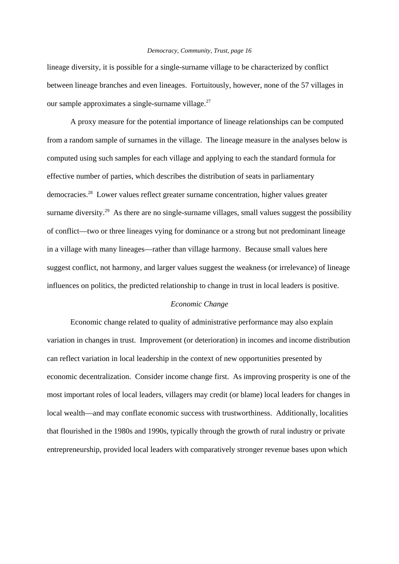lineage diversity, it is possible for a single-surname village to be characterized by conflict between lineage branches and even lineages. Fortuitously, however, none of the 57 villages in our sample approximates a single-surname village. $27$ 

A proxy measure for the potential importance of lineage relationships can be computed from a random sample of surnames in the village. The lineage measure in the analyses below is computed using such samples for each village and applying to each the standard formula for effective number of parties, which describes the distribution of seats in parliamentary democracies.28 Lower values reflect greater surname concentration, higher values greater surname diversity.<sup>29</sup> As there are no single-surname villages, small values suggest the possibility of conflict—two or three lineages vying for dominance or a strong but not predominant lineage in a village with many lineages—rather than village harmony. Because small values here suggest conflict, not harmony, and larger values suggest the weakness (or irrelevance) of lineage influences on politics, the predicted relationship to change in trust in local leaders is positive.

## *Economic Change*

Economic change related to quality of administrative performance may also explain variation in changes in trust. Improvement (or deterioration) in incomes and income distribution can reflect variation in local leadership in the context of new opportunities presented by economic decentralization. Consider income change first. As improving prosperity is one of the most important roles of local leaders, villagers may credit (or blame) local leaders for changes in local wealth—and may conflate economic success with trustworthiness. Additionally, localities that flourished in the 1980s and 1990s, typically through the growth of rural industry or private entrepreneurship, provided local leaders with comparatively stronger revenue bases upon which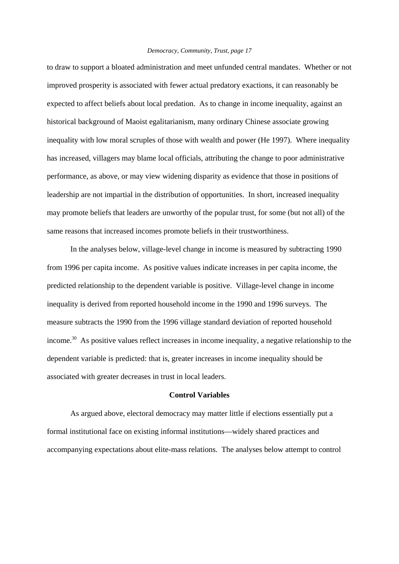to draw to support a bloated administration and meet unfunded central mandates. Whether or not improved prosperity is associated with fewer actual predatory exactions, it can reasonably be expected to affect beliefs about local predation. As to change in income inequality, against an historical background of Maoist egalitarianism, many ordinary Chinese associate growing inequality with low moral scruples of those with wealth and power (He 1997). Where inequality has increased, villagers may blame local officials, attributing the change to poor administrative performance, as above, or may view widening disparity as evidence that those in positions of leadership are not impartial in the distribution of opportunities. In short, increased inequality may promote beliefs that leaders are unworthy of the popular trust, for some (but not all) of the same reasons that increased incomes promote beliefs in their trustworthiness.

In the analyses below, village-level change in income is measured by subtracting 1990 from 1996 per capita income. As positive values indicate increases in per capita income, the predicted relationship to the dependent variable is positive. Village-level change in income inequality is derived from reported household income in the 1990 and 1996 surveys. The measure subtracts the 1990 from the 1996 village standard deviation of reported household income.<sup>30</sup> As positive values reflect increases in income inequality, a negative relationship to the dependent variable is predicted: that is, greater increases in income inequality should be associated with greater decreases in trust in local leaders.

# **Control Variables**

As argued above, electoral democracy may matter little if elections essentially put a formal institutional face on existing informal institutions—widely shared practices and accompanying expectations about elite-mass relations. The analyses below attempt to control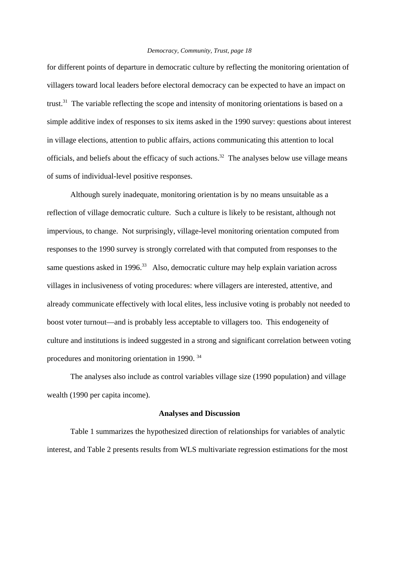for different points of departure in democratic culture by reflecting the monitoring orientation of villagers toward local leaders before electoral democracy can be expected to have an impact on trust.31 The variable reflecting the scope and intensity of monitoring orientations is based on a simple additive index of responses to six items asked in the 1990 survey: questions about interest in village elections, attention to public affairs, actions communicating this attention to local officials, and beliefs about the efficacy of such actions.<sup>32</sup> The analyses below use village means of sums of individual-level positive responses.

Although surely inadequate, monitoring orientation is by no means unsuitable as a reflection of village democratic culture. Such a culture is likely to be resistant, although not impervious, to change. Not surprisingly, village-level monitoring orientation computed from responses to the 1990 survey is strongly correlated with that computed from responses to the same questions asked in 1996.<sup>33</sup> Also, democratic culture may help explain variation across villages in inclusiveness of voting procedures: where villagers are interested, attentive, and already communicate effectively with local elites, less inclusive voting is probably not needed to boost voter turnout—and is probably less acceptable to villagers too. This endogeneity of culture and institutions is indeed suggested in a strong and significant correlation between voting procedures and monitoring orientation in 1990. 34

The analyses also include as control variables village size (1990 population) and village wealth (1990 per capita income).

## **Analyses and Discussion**

Table 1 summarizes the hypothesized direction of relationships for variables of analytic interest, and Table 2 presents results from WLS multivariate regression estimations for the most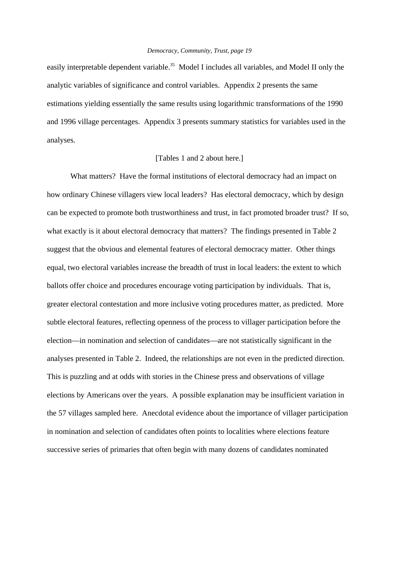easily interpretable dependent variable.<sup>35</sup> Model I includes all variables, and Model II only the analytic variables of significance and control variables. Appendix 2 presents the same estimations yielding essentially the same results using logarithmic transformations of the 1990 and 1996 village percentages. Appendix 3 presents summary statistics for variables used in the analyses.

# [Tables 1 and 2 about here.]

What matters? Have the formal institutions of electoral democracy had an impact on how ordinary Chinese villagers view local leaders? Has electoral democracy, which by design can be expected to promote both trustworthiness and trust, in fact promoted broader trust? If so, what exactly is it about electoral democracy that matters? The findings presented in Table 2 suggest that the obvious and elemental features of electoral democracy matter. Other things equal, two electoral variables increase the breadth of trust in local leaders: the extent to which ballots offer choice and procedures encourage voting participation by individuals. That is, greater electoral contestation and more inclusive voting procedures matter, as predicted. More subtle electoral features, reflecting openness of the process to villager participation before the election—in nomination and selection of candidates—are not statistically significant in the analyses presented in Table 2. Indeed, the relationships are not even in the predicted direction. This is puzzling and at odds with stories in the Chinese press and observations of village elections by Americans over the years. A possible explanation may be insufficient variation in the 57 villages sampled here. Anecdotal evidence about the importance of villager participation in nomination and selection of candidates often points to localities where elections feature successive series of primaries that often begin with many dozens of candidates nominated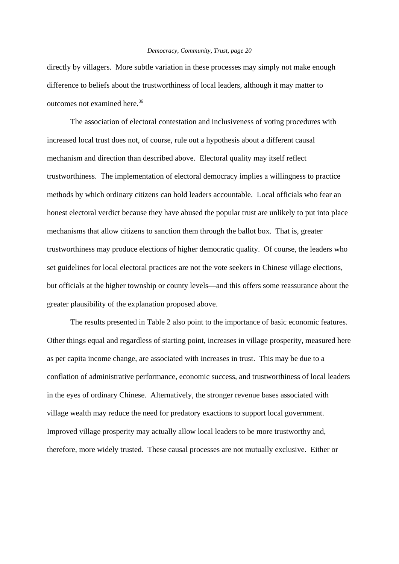directly by villagers. More subtle variation in these processes may simply not make enough difference to beliefs about the trustworthiness of local leaders, although it may matter to outcomes not examined here.36

The association of electoral contestation and inclusiveness of voting procedures with increased local trust does not, of course, rule out a hypothesis about a different causal mechanism and direction than described above. Electoral quality may itself reflect trustworthiness. The implementation of electoral democracy implies a willingness to practice methods by which ordinary citizens can hold leaders accountable. Local officials who fear an honest electoral verdict because they have abused the popular trust are unlikely to put into place mechanisms that allow citizens to sanction them through the ballot box. That is, greater trustworthiness may produce elections of higher democratic quality. Of course, the leaders who set guidelines for local electoral practices are not the vote seekers in Chinese village elections, but officials at the higher township or county levels—and this offers some reassurance about the greater plausibility of the explanation proposed above.

The results presented in Table 2 also point to the importance of basic economic features. Other things equal and regardless of starting point, increases in village prosperity, measured here as per capita income change, are associated with increases in trust. This may be due to a conflation of administrative performance, economic success, and trustworthiness of local leaders in the eyes of ordinary Chinese. Alternatively, the stronger revenue bases associated with village wealth may reduce the need for predatory exactions to support local government. Improved village prosperity may actually allow local leaders to be more trustworthy and, therefore, more widely trusted. These causal processes are not mutually exclusive. Either or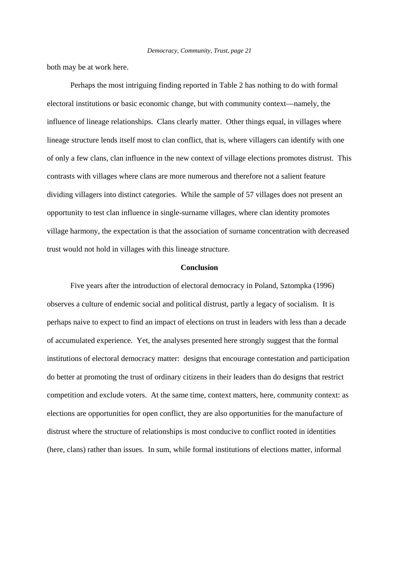both may be at work here.

Perhaps the most intriguing finding reported in Table 2 has nothing to do with formal electoral institutions or basic economic change, but with community context—namely, the influence of lineage relationships. Clans clearly matter. Other things equal, in villages where lineage structure lends itself most to clan conflict, that is, where villagers can identify with one of only a few clans, clan influence in the new context of village elections promotes distrust. This contrasts with villages where clans are more numerous and therefore not a salient feature dividing villagers into distinct categories. While the sample of 57 villages does not present an opportunity to test clan influence in single-surname villages, where clan identity promotes village harmony, the expectation is that the association of surname concentration with decreased trust would not hold in villages with this lineage structure.

## **Conclusion**

Five years after the introduction of electoral democracy in Poland, Sztompka (1996) observes a culture of endemic social and political distrust, partly a legacy of socialism. It is perhaps naive to expect to find an impact of elections on trust in leaders with less than a decade of accumulated experience. Yet, the analyses presented here strongly suggest that the formal institutions of electoral democracy matter: designs that encourage contestation and participation do better at promoting the trust of ordinary citizens in their leaders than do designs that restrict competition and exclude voters. At the same time, context matters, here, community context: as elections are opportunities for open conflict, they are also opportunities for the manufacture of distrust where the structure of relationships is most conducive to conflict rooted in identities (here, clans) rather than issues. In sum, while formal institutions of elections matter, informal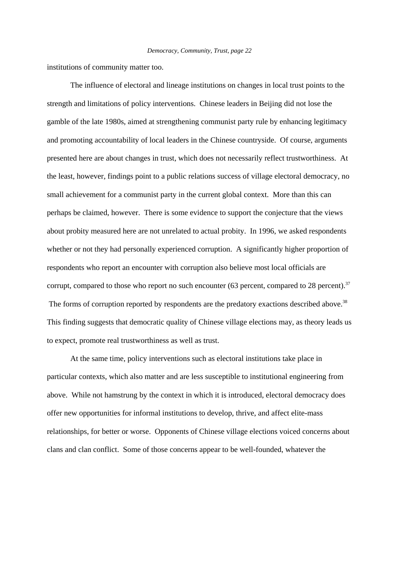institutions of community matter too.

The influence of electoral and lineage institutions on changes in local trust points to the strength and limitations of policy interventions. Chinese leaders in Beijing did not lose the gamble of the late 1980s, aimed at strengthening communist party rule by enhancing legitimacy and promoting accountability of local leaders in the Chinese countryside. Of course, arguments presented here are about changes in trust, which does not necessarily reflect trustworthiness. At the least, however, findings point to a public relations success of village electoral democracy, no small achievement for a communist party in the current global context. More than this can perhaps be claimed, however. There is some evidence to support the conjecture that the views about probity measured here are not unrelated to actual probity. In 1996, we asked respondents whether or not they had personally experienced corruption. A significantly higher proportion of respondents who report an encounter with corruption also believe most local officials are corrupt, compared to those who report no such encounter (63 percent, compared to 28 percent).<sup>37</sup> The forms of corruption reported by respondents are the predatory exactions described above.<sup>38</sup> This finding suggests that democratic quality of Chinese village elections may, as theory leads us to expect, promote real trustworthiness as well as trust.

At the same time, policy interventions such as electoral institutions take place in particular contexts, which also matter and are less susceptible to institutional engineering from above. While not hamstrung by the context in which it is introduced, electoral democracy does offer new opportunities for informal institutions to develop, thrive, and affect elite-mass relationships, for better or worse. Opponents of Chinese village elections voiced concerns about clans and clan conflict. Some of those concerns appear to be well-founded, whatever the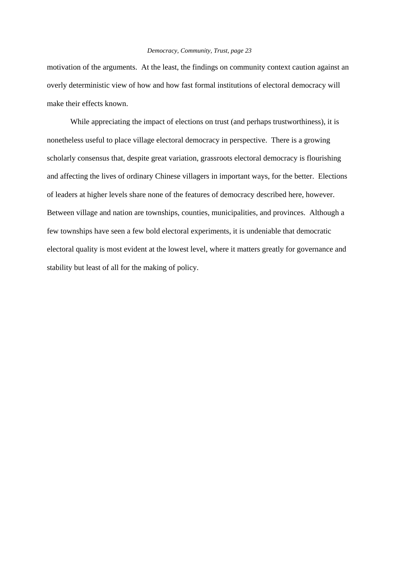motivation of the arguments. At the least, the findings on community context caution against an overly deterministic view of how and how fast formal institutions of electoral democracy will make their effects known.

While appreciating the impact of elections on trust (and perhaps trustworthiness), it is nonetheless useful to place village electoral democracy in perspective. There is a growing scholarly consensus that, despite great variation, grassroots electoral democracy is flourishing and affecting the lives of ordinary Chinese villagers in important ways, for the better. Elections of leaders at higher levels share none of the features of democracy described here, however. Between village and nation are townships, counties, municipalities, and provinces. Although a few townships have seen a few bold electoral experiments, it is undeniable that democratic electoral quality is most evident at the lowest level, where it matters greatly for governance and stability but least of all for the making of policy.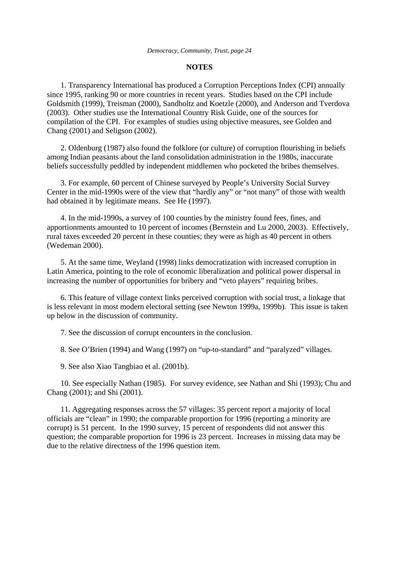#### **NOTES**

 1. Transparency International has produced a Corruption Perceptions Index (CPI) annually since 1995, ranking 90 or more countries in recent years. Studies based on the CPI include Goldsmith (1999), Treisman (2000), Sandholtz and Koetzle (2000), and Anderson and Tverdova (2003). Other studies use the International Country Risk Guide, one of the sources for compilation of the CPI. For examples of studies using objective measures, see Golden and Chang (2001) and Seligson (2002).

 2. Oldenburg (1987) also found the folklore (or culture) of corruption flourishing in beliefs among Indian peasants about the land consolidation administration in the 1980s, inaccurate beliefs successfully peddled by independent middlemen who pocketed the bribes themselves.

 3. For example, 60 percent of Chinese surveyed by People's University Social Survey Center in the mid-1990s were of the view that "hardly any" or "not many" of those with wealth had obtained it by legitimate means. See He (1997).

 4. In the mid-1990s, a survey of 100 counties by the ministry found fees, fines, and apportionments amounted to 10 percent of incomes (Bernstein and Lu 2000, 2003). Effectively, rural taxes exceeded 20 percent in these counties; they were as high as 40 percent in others (Wedeman 2000).

 5. At the same time, Weyland (1998) links democratization with increased corruption in Latin America, pointing to the role of economic liberalization and political power dispersal in increasing the number of opportunities for bribery and "veto players" requiring bribes.

 6. This feature of village context links perceived corruption with social trust, a linkage that is less relevant in most modern electoral setting (see Newton 1999a, 1999b). This issue is taken up below in the discussion of community.

7. See the discussion of corrupt encounters in the conclusion.

8. See O'Brien (1994) and Wang (1997) on "up-to-standard" and "paralyzed" villages.

9. See also Xiao Tangbiao et al. (2001b).

 10. See especially Nathan (1985). For survey evidence, see Nathan and Shi (1993); Chu and Chang (2001); and Shi (2001).

 11. Aggregating responses across the 57 villages: 35 percent report a majority of local officials are "clean" in 1990; the comparable proportion for 1996 (reporting a minority are corrupt) is 51 percent. In the 1990 survey, 15 percent of respondents did not answer this question; the comparable proportion for 1996 is 23 percent. Increases in missing data may be due to the relative directness of the 1996 question item.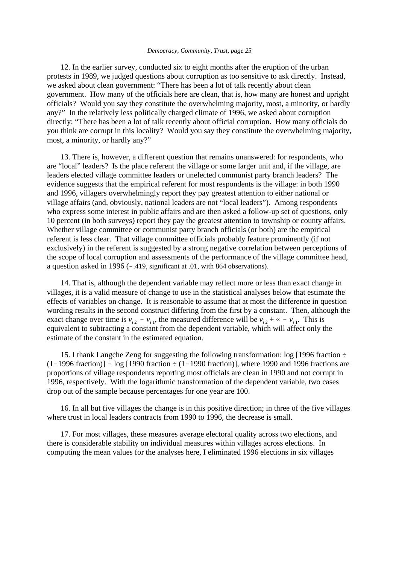12. In the earlier survey, conducted six to eight months after the eruption of the urban protests in 1989, we judged questions about corruption as too sensitive to ask directly. Instead, we asked about clean government: "There has been a lot of talk recently about clean government. How many of the officials here are clean, that is, how many are honest and upright officials? Would you say they constitute the overwhelming majority, most, a minority, or hardly any?" In the relatively less politically charged climate of 1996, we asked about corruption directly: "There has been a lot of talk recently about official corruption. How many officials do you think are corrupt in this locality? Would you say they constitute the overwhelming majority, most, a minority, or hardly any?"

 13. There is, however, a different question that remains unanswered: for respondents, who are "local" leaders? Is the place referent the village or some larger unit and, if the village, are leaders elected village committee leaders or unelected communist party branch leaders? The evidence suggests that the empirical referent for most respondents is the village: in both 1990 and 1996, villagers overwhelmingly report they pay greatest attention to either national or village affairs (and, obviously, national leaders are not "local leaders"). Among respondents who express some interest in public affairs and are then asked a follow-up set of questions, only 10 percent (in both surveys) report they pay the greatest attention to township or county affairs. Whether village committee or communist party branch officials (or both) are the empirical referent is less clear. That village committee officials probably feature prominently (if not exclusively) in the referent is suggested by a strong negative correlation between perceptions of the scope of local corruption and assessments of the performance of the village committee head, a question asked in 1996 ( $-.419$ , significant at .01, with 864 observations).

 14. That is, although the dependent variable may reflect more or less than exact change in villages, it is a valid measure of change to use in the statistical analyses below that estimate the effects of variables on change. It is reasonable to assume that at most the difference in question wording results in the second construct differing from the first by a constant. Then, although the exact change over time is  $v_{i2} - v_{i1}$ , the measured difference will be  $v_{i2} + \infty - v_{i1}$ . This is equivalent to subtracting a constant from the dependent variable, which will affect only the estimate of the constant in the estimated equation.

 15. I thank Langche Zeng for suggesting the following transformation: log [1996 fraction ÷  $(1-1996$  fraction)]  $-$  log [1990 fraction  $\div$  (1-1990 fraction)], where 1990 and 1996 fractions are proportions of village respondents reporting most officials are clean in 1990 and not corrupt in 1996, respectively. With the logarithmic transformation of the dependent variable, two cases drop out of the sample because percentages for one year are 100.

 16. In all but five villages the change is in this positive direction; in three of the five villages where trust in local leaders contracts from 1990 to 1996, the decrease is small.

 17. For most villages, these measures average electoral quality across two elections, and there is considerable stability on individual measures within villages across elections. In computing the mean values for the analyses here, I eliminated 1996 elections in six villages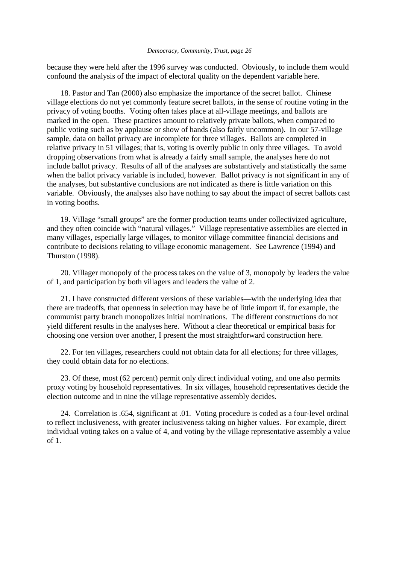because they were held after the 1996 survey was conducted. Obviously, to include them would confound the analysis of the impact of electoral quality on the dependent variable here.

 18. Pastor and Tan (2000) also emphasize the importance of the secret ballot. Chinese village elections do not yet commonly feature secret ballots, in the sense of routine voting in the privacy of voting booths. Voting often takes place at all-village meetings, and ballots are marked in the open. These practices amount to relatively private ballots, when compared to public voting such as by applause or show of hands (also fairly uncommon). In our 57-village sample, data on ballot privacy are incomplete for three villages. Ballots are completed in relative privacy in 51 villages; that is, voting is overtly public in only three villages. To avoid dropping observations from what is already a fairly small sample, the analyses here do not include ballot privacy. Results of all of the analyses are substantively and statistically the same when the ballot privacy variable is included, however. Ballot privacy is not significant in any of the analyses, but substantive conclusions are not indicated as there is little variation on this variable. Obviously, the analyses also have nothing to say about the impact of secret ballots cast in voting booths.

 19. Village "small groups" are the former production teams under collectivized agriculture, and they often coincide with "natural villages." Village representative assemblies are elected in many villages, especially large villages, to monitor village committee financial decisions and contribute to decisions relating to village economic management. See Lawrence (1994) and Thurston (1998).

 20. Villager monopoly of the process takes on the value of 3, monopoly by leaders the value of 1, and participation by both villagers and leaders the value of 2.

 21. I have constructed different versions of these variables—with the underlying idea that there are tradeoffs, that openness in selection may have be of little import if, for example, the communist party branch monopolizes initial nominations. The different constructions do not yield different results in the analyses here. Without a clear theoretical or empirical basis for choosing one version over another, I present the most straightforward construction here.

 22. For ten villages, researchers could not obtain data for all elections; for three villages, they could obtain data for no elections.

 23. Of these, most (62 percent) permit only direct individual voting, and one also permits proxy voting by household representatives. In six villages, household representatives decide the election outcome and in nine the village representative assembly decides.

 24. Correlation is .654, significant at .01. Voting procedure is coded as a four-level ordinal to reflect inclusiveness, with greater inclusiveness taking on higher values. For example, direct individual voting takes on a value of 4, and voting by the village representative assembly a value of 1.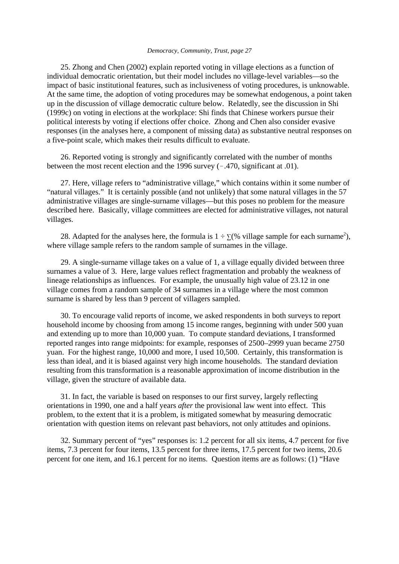25. Zhong and Chen (2002) explain reported voting in village elections as a function of individual democratic orientation, but their model includes no village-level variables—so the impact of basic institutional features, such as inclusiveness of voting procedures, is unknowable. At the same time, the adoption of voting procedures may be somewhat endogenous, a point taken up in the discussion of village democratic culture below. Relatedly, see the discussion in Shi (1999c) on voting in elections at the workplace: Shi finds that Chinese workers pursue their political interests by voting if elections offer choice. Zhong and Chen also consider evasive responses (in the analyses here, a component of missing data) as substantive neutral responses on a five-point scale, which makes their results difficult to evaluate.

 26. Reported voting is strongly and significantly correlated with the number of months between the most recent election and the 1996 survey  $(-.470,$  significant at .01).

 27. Here, village refers to "administrative village," which contains within it some number of "natural villages." It is certainly possible (and not unlikely) that some natural villages in the 57 administrative villages are single-surname villages—but this poses no problem for the measure described here. Basically, village committees are elected for administrative villages, not natural villages.

28. Adapted for the analyses here, the formula is  $1 \div \Sigma$  (% village sample for each surname<sup>2</sup>), where village sample refers to the random sample of surnames in the village.

 29. A single-surname village takes on a value of 1, a village equally divided between three surnames a value of 3. Here, large values reflect fragmentation and probably the weakness of lineage relationships as influences. For example, the unusually high value of 23.12 in one village comes from a random sample of 34 surnames in a village where the most common surname is shared by less than 9 percent of villagers sampled.

 30. To encourage valid reports of income, we asked respondents in both surveys to report household income by choosing from among 15 income ranges, beginning with under 500 yuan and extending up to more than 10,000 yuan. To compute standard deviations, I transformed reported ranges into range midpoints: for example, responses of 2500–2999 yuan became 2750 yuan. For the highest range, 10,000 and more, I used 10,500. Certainly, this transformation is less than ideal, and it is biased against very high income households. The standard deviation resulting from this transformation is a reasonable approximation of income distribution in the village, given the structure of available data.

 31. In fact, the variable is based on responses to our first survey, largely reflecting orientations in 1990, one and a half years *after* the provisional law went into effect. This problem, to the extent that it is a problem, is mitigated somewhat by measuring democratic orientation with question items on relevant past behaviors, not only attitudes and opinions.

 32. Summary percent of "yes" responses is: 1.2 percent for all six items, 4.7 percent for five items, 7.3 percent for four items, 13.5 percent for three items, 17.5 percent for two items, 20.6 percent for one item, and 16.1 percent for no items. Question items are as follows: (1) "Have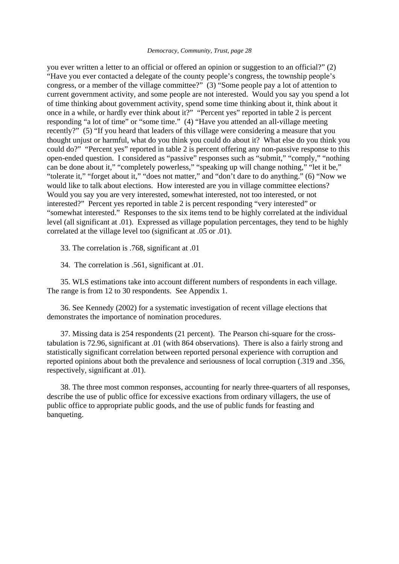you ever written a letter to an official or offered an opinion or suggestion to an official?" (2) "Have you ever contacted a delegate of the county people's congress, the township people's congress, or a member of the village committee?" (3) "Some people pay a lot of attention to current government activity, and some people are not interested. Would you say you spend a lot of time thinking about government activity, spend some time thinking about it, think about it once in a while, or hardly ever think about it?" "Percent yes" reported in table 2 is percent responding "a lot of time" or "some time." (4) "Have you attended an all-village meeting recently?" (5) "If you heard that leaders of this village were considering a measure that you thought unjust or harmful, what do you think you could do about it? What else do you think you could do?" "Percent yes" reported in table 2 is percent offering any non-passive response to this open-ended question. I considered as "passive" responses such as "submit," "comply," "nothing can be done about it," "completely powerless," "speaking up will change nothing," "let it be," "tolerate it," "forget about it," "does not matter," and "don't dare to do anything." (6) "Now we would like to talk about elections. How interested are you in village committee elections? Would you say you are very interested, somewhat interested, not too interested, or not interested?" Percent yes reported in table 2 is percent responding "very interested" or "somewhat interested." Responses to the six items tend to be highly correlated at the individual level (all significant at .01). Expressed as village population percentages, they tend to be highly correlated at the village level too (significant at .05 or .01).

33. The correlation is .768, significant at .01

34. The correlation is .561, significant at .01.

 35. WLS estimations take into account different numbers of respondents in each village. The range is from 12 to 30 respondents. See Appendix 1.

 36. See Kennedy (2002) for a systematic investigation of recent village elections that demonstrates the importance of nomination procedures.

 37. Missing data is 254 respondents (21 percent). The Pearson chi-square for the crosstabulation is 72.96, significant at .01 (with 864 observations). There is also a fairly strong and statistically significant correlation between reported personal experience with corruption and reported opinions about both the prevalence and seriousness of local corruption (.319 and .356, respectively, significant at .01).

 38. The three most common responses, accounting for nearly three-quarters of all responses, describe the use of public office for excessive exactions from ordinary villagers, the use of public office to appropriate public goods, and the use of public funds for feasting and banqueting.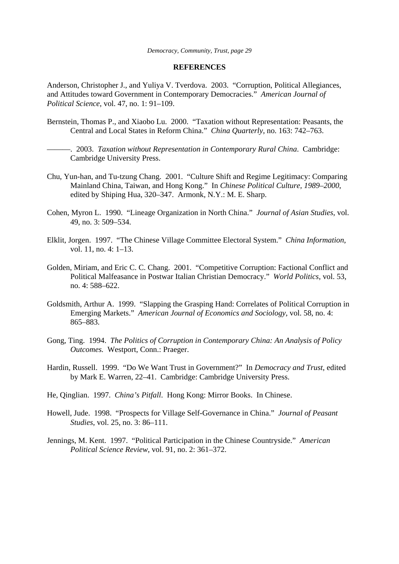#### **REFERENCES**

Anderson, Christopher J., and Yuliya V. Tverdova. 2003. "Corruption, Political Allegiances, and Attitudes toward Government in Contemporary Democracies." *American Journal of Political Science*, vol. 47, no. 1: 91–109.

- Bernstein, Thomas P., and Xiaobo Lu. 2000. "Taxation without Representation: Peasants, the Central and Local States in Reform China." *China Quarterly*, no. 163: 742–763.
	- ———. 2003. *Taxation without Representation in Contemporary Rural China*. Cambridge: Cambridge University Press.
- Chu, Yun-han, and Tu-tzung Chang. 2001. "Culture Shift and Regime Legitimacy: Comparing Mainland China, Taiwan, and Hong Kong." In *Chinese Political Culture, 1989–2000*, edited by Shiping Hua, 320–347. Armonk, N.Y.: M. E. Sharp.
- Cohen, Myron L. 1990. "Lineage Organization in North China." *Journal of Asian Studies*, vol. 49, no. 3: 509–534.
- Elklit, Jorgen. 1997. "The Chinese Village Committee Electoral System." *China Information*, vol. 11, no. 4: 1–13.
- Golden, Miriam, and Eric C. C. Chang. 2001. "Competitive Corruption: Factional Conflict and Political Malfeasance in Postwar Italian Christian Democracy." *World Politics*, vol. 53, no. 4: 588–622.
- Goldsmith, Arthur A. 1999. "Slapping the Grasping Hand: Correlates of Political Corruption in Emerging Markets." *American Journal of Economics and Sociology*, vol. 58, no. 4: 865–883.
- Gong, Ting. 1994. *The Politics of Corruption in Contemporary China: An Analysis of Policy Outcomes.* Westport, Conn.: Praeger.
- Hardin, Russell. 1999. "Do We Want Trust in Government?" In *Democracy and Trust*, edited by Mark E. Warren, 22–41. Cambridge: Cambridge University Press.
- He, Qinglian. 1997. *China's Pitfall*. Hong Kong: Mirror Books. In Chinese.
- Howell, Jude. 1998. "Prospects for Village Self-Governance in China." *Journal of Peasant Studies*, vol. 25, no. 3: 86–111.
- Jennings, M. Kent. 1997. "Political Participation in the Chinese Countryside." *American Political Science Review*, vol. 91, no. 2: 361–372.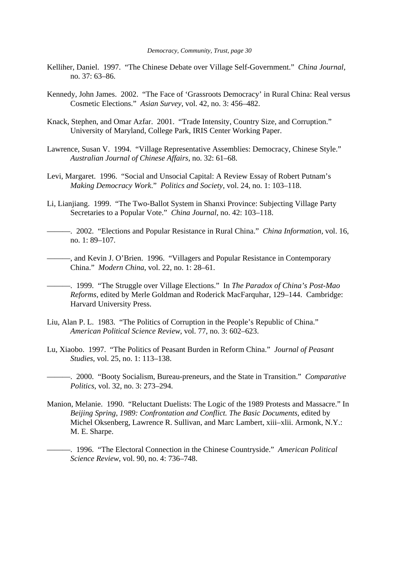- Kelliher, Daniel. 1997. "The Chinese Debate over Village Self-Government." *China Journal*, no. 37: 63–86.
- Kennedy, John James. 2002. "The Face of 'Grassroots Democracy' in Rural China: Real versus Cosmetic Elections." *Asian Survey*, vol. 42, no. 3: 456–482.
- Knack, Stephen, and Omar Azfar. 2001. "Trade Intensity, Country Size, and Corruption." University of Maryland, College Park, IRIS Center Working Paper.
- Lawrence, Susan V. 1994. "Village Representative Assemblies: Democracy, Chinese Style." *Australian Journal of Chinese Affairs*, no. 32: 61–68.
- Levi, Margaret. 1996. "Social and Unsocial Capital: A Review Essay of Robert Putnam's *Making Democracy Work*." *Politics and Society*, vol. 24, no. 1: 103–118.
- Li, Lianjiang. 1999. "The Two-Ballot System in Shanxi Province: Subjecting Village Party Secretaries to a Popular Vote." *China Journal*, no. 42: 103–118.

———. 2002. "Elections and Popular Resistance in Rural China." *China Information*, vol. 16, no. 1: 89–107.

———, and Kevin J. O'Brien. 1996. "Villagers and Popular Resistance in Contemporary China." *Modern China*, vol. 22, no. 1: 28–61.

———. 1999. "The Struggle over Village Elections." In *The Paradox of China's Post-Mao Reforms*, edited by Merle Goldman and Roderick MacFarquhar, 129–144. Cambridge: Harvard University Press.

- Liu, Alan P. L. 1983. "The Politics of Corruption in the People's Republic of China." *American Political Science Review*, vol. 77, no. 3: 602–623.
- Lu, Xiaobo. 1997. "The Politics of Peasant Burden in Reform China." *Journal of Peasant Studies*, vol. 25, no. 1: 113–138.
- ———. 2000. "Booty Socialism, Bureau-preneurs, and the State in Transition." *Comparative Politics*, vol. 32, no. 3: 273–294.
- Manion, Melanie. 1990. "Reluctant Duelists: The Logic of the 1989 Protests and Massacre." In *Beijing Spring, 1989: Confrontation and Conflict. The Basic Documents*, edited by Michel Oksenberg, Lawrence R. Sullivan, and Marc Lambert, xiii–xlii. Armonk, N.Y.: M. E. Sharpe.

———. 1996. "The Electoral Connection in the Chinese Countryside." *American Political Science Review*, vol. 90, no. 4: 736–748.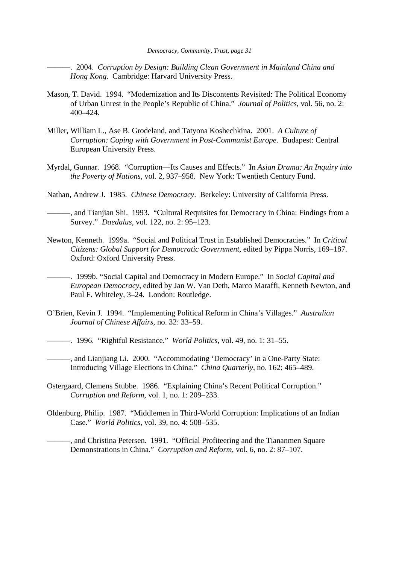———. 2004. *Corruption by Design: Building Clean Government in Mainland China and Hong Kong*. Cambridge: Harvard University Press.

- Mason, T. David. 1994. "Modernization and Its Discontents Revisited: The Political Economy of Urban Unrest in the People's Republic of China." *Journal of Politics*, vol. 56, no. 2: 400–424.
- Miller, William L., Ase B. Grodeland, and Tatyona Koshechkina. 2001. *A Culture of Corruption: Coping with Government in Post-Communist Europe*. Budapest: Central European University Press.
- Myrdal, Gunnar. 1968. "Corruption—Its Causes and Effects." In *Asian Drama: An Inquiry into the Poverty of Nations*, vol. 2, 937–958. New York: Twentieth Century Fund.
- Nathan, Andrew J. 1985. *Chinese Democracy*. Berkeley: University of California Press.
	- -, and Tianjian Shi. 1993. "Cultural Requisites for Democracy in China: Findings from a Survey." *Daedalus*, vol. 122, no. 2: 95–123.
- Newton, Kenneth. 1999a. "Social and Political Trust in Established Democracies." In *Critical Citizens: Global Support for Democratic Government*, edited by Pippa Norris, 169–187. Oxford: Oxford University Press.
- ———. 1999b. "Social Capital and Democracy in Modern Europe." In *Social Capital and European Democracy*, edited by Jan W. Van Deth, Marco Maraffi, Kenneth Newton, and Paul F. Whiteley, 3–24. London: Routledge.
- O'Brien, Kevin J. 1994. "Implementing Political Reform in China's Villages." *Australian Journal of Chinese Affairs*, no. 32: 33–59.
- ———. 1996. "Rightful Resistance." *World Politics*, vol. 49, no. 1: 31–55.
- ———, and Lianjiang Li. 2000. "Accommodating 'Democracy' in a One-Party State: Introducing Village Elections in China." *China Quarterly*, no. 162: 465–489.
- Ostergaard, Clemens Stubbe. 1986. "Explaining China's Recent Political Corruption." *Corruption and Reform*, vol. 1, no. 1: 209–233.
- Oldenburg, Philip. 1987. "Middlemen in Third-World Corruption: Implications of an Indian Case." *World Politics*, vol. 39, no. 4: 508–535.

-, and Christina Petersen. 1991. "Official Profiteering and the Tiananmen Square Demonstrations in China." *Corruption and Reform*, vol. 6, no. 2: 87–107.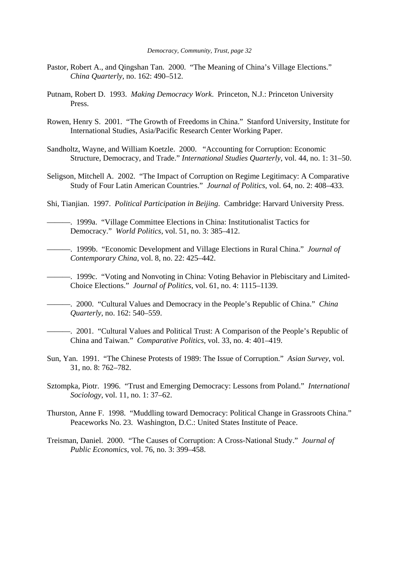- Pastor, Robert A., and Qingshan Tan. 2000. "The Meaning of China's Village Elections." *China Quarterly*, no. 162: 490–512.
- Putnam, Robert D. 1993. *Making Democracy Work*. Princeton, N.J.: Princeton University Press.
- Rowen, Henry S. 2001. "The Growth of Freedoms in China." Stanford University, Institute for International Studies, Asia/Pacific Research Center Working Paper.
- Sandholtz, Wayne, and William Koetzle. 2000. "Accounting for Corruption: Economic Structure, Democracy, and Trade." *International Studies Quarterly*, vol. 44, no. 1: 31–50.
- Seligson, Mitchell A. 2002. "The Impact of Corruption on Regime Legitimacy: A Comparative Study of Four Latin American Countries." *Journal of Politics*, vol. 64, no. 2: 408–433.
- Shi, Tianjian. 1997. *Political Participation in Beijing*. Cambridge: Harvard University Press.
	- ———. 1999a. "Village Committee Elections in China: Institutionalist Tactics for Democracy." *World Politics*, vol. 51, no. 3: 385–412.
- ———. 1999b. "Economic Development and Village Elections in Rural China." *Journal of Contemporary China*, vol. 8, no. 22: 425–442.
- ———. 1999c. "Voting and Nonvoting in China: Voting Behavior in Plebiscitary and Limited-Choice Elections." *Journal of Politics*, vol. 61, no. 4: 1115–1139.
- ———. 2000. "Cultural Values and Democracy in the People's Republic of China." *China Quarterly*, no. 162: 540–559.
- ———. 2001. "Cultural Values and Political Trust: A Comparison of the People's Republic of China and Taiwan." *Comparative Politics*, vol. 33, no. 4: 401–419.
- Sun, Yan. 1991. "The Chinese Protests of 1989: The Issue of Corruption." *Asian Survey*, vol. 31, no. 8: 762–782.
- Sztompka, Piotr. 1996. "Trust and Emerging Democracy: Lessons from Poland." *International Sociology*, vol. 11, no. 1: 37–62.
- Thurston, Anne F. 1998. "Muddling toward Democracy: Political Change in Grassroots China." Peaceworks No. 23. Washington, D.C.: United States Institute of Peace.
- Treisman, Daniel. 2000. "The Causes of Corruption: A Cross-National Study." *Journal of Public Economics*, vol. 76, no. 3: 399–458.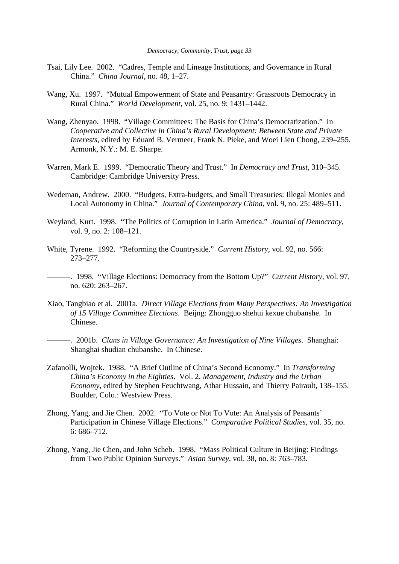- Tsai, Lily Lee. 2002. "Cadres, Temple and Lineage Institutions, and Governance in Rural China." *China Journal*, no. 48, 1–27.
- Wang, Xu. 1997. "Mutual Empowerment of State and Peasantry: Grassroots Democracy in Rural China." *World Development*, vol. 25, no. 9: 1431–1442.
- Wang, Zhenyao. 1998. "Village Committees: The Basis for China's Democratization." In *Cooperative and Collective in China's Rural Development: Between State and Private Interests*, edited by Eduard B. Vermeer, Frank N. Pieke, and Woei Lien Chong, 239–255. Armonk, N.Y.: M. E. Sharpe.
- Warren, Mark E. 1999. "Democratic Theory and Trust." In *Democracy and Trust*, 310–345. Cambridge: Cambridge University Press.
- Wedeman, Andrew. 2000. "Budgets, Extra-budgets, and Small Treasuries: Illegal Monies and Local Autonomy in China." *Journal of Contemporary China*, vol. 9, no. 25: 489–511.
- Weyland, Kurt. 1998. "The Politics of Corruption in Latin America." *Journal of Democracy*, vol. 9, no. 2: 108–121.
- White, Tyrene. 1992. "Reforming the Countryside." *Current History*, vol. 92, no. 566: 273–277.
- ———. 1998. "Village Elections: Democracy from the Bottom Up?" *Current History*, vol. 97, no. 620: 263–267.
- Xiao, Tangbiao et al. 2001a. *Direct Village Elections from Many Perspectives: An Investigation of 15 Village Committee Elections*. Beijng: Zhongguo shehui kexue chubanshe. In Chinese.
	- ———. 2001b. *Clans in Village Governance: An Investigation of Nine Villages*. Shanghai: Shanghai shudian chubanshe. In Chinese.
- Zafanolli, Wojtek. 1988. "A Brief Outline of China's Second Economy." In *Transforming China's Economy in the Eighties*. Vol. 2, *Management, Industry and the Urban Economy*, edited by Stephen Feuchtwang, Athar Hussain, and Thierry Pairault, 138–155. Boulder, Colo.: Westview Press.
- Zhong, Yang, and Jie Chen. 2002. "To Vote or Not To Vote: An Analysis of Peasants' Participation in Chinese Village Elections." *Comparative Political Studies*, vol. 35, no. 6: 686–712.
- Zhong, Yang, Jie Chen, and John Scheb. 1998. "Mass Political Culture in Beijing: Findings from Two Public Opinion Surveys." *Asian Survey*, vol. 38, no. 8: 763–783.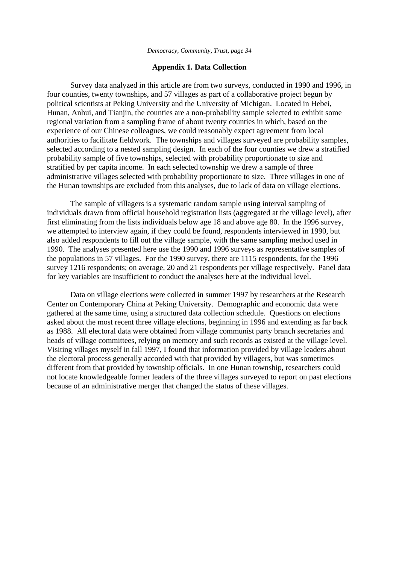## **Appendix 1. Data Collection**

Survey data analyzed in this article are from two surveys, conducted in 1990 and 1996, in four counties, twenty townships, and 57 villages as part of a collaborative project begun by political scientists at Peking University and the University of Michigan. Located in Hebei, Hunan, Anhui, and Tianjin, the counties are a non-probability sample selected to exhibit some regional variation from a sampling frame of about twenty counties in which, based on the experience of our Chinese colleagues, we could reasonably expect agreement from local authorities to facilitate fieldwork. The townships and villages surveyed are probability samples, selected according to a nested sampling design. In each of the four counties we drew a stratified probability sample of five townships, selected with probability proportionate to size and stratified by per capita income. In each selected township we drew a sample of three administrative villages selected with probability proportionate to size. Three villages in one of the Hunan townships are excluded from this analyses, due to lack of data on village elections.

The sample of villagers is a systematic random sample using interval sampling of individuals drawn from official household registration lists (aggregated at the village level), after first eliminating from the lists individuals below age 18 and above age 80. In the 1996 survey, we attempted to interview again, if they could be found, respondents interviewed in 1990, but also added respondents to fill out the village sample, with the same sampling method used in 1990. The analyses presented here use the 1990 and 1996 surveys as representative samples of the populations in 57 villages. For the 1990 survey, there are 1115 respondents, for the 1996 survey 1216 respondents; on average, 20 and 21 respondents per village respectively. Panel data for key variables are insufficient to conduct the analyses here at the individual level.

Data on village elections were collected in summer 1997 by researchers at the Research Center on Contemporary China at Peking University. Demographic and economic data were gathered at the same time, using a structured data collection schedule. Questions on elections asked about the most recent three village elections, beginning in 1996 and extending as far back as 1988. All electoral data were obtained from village communist party branch secretaries and heads of village committees, relying on memory and such records as existed at the village level. Visiting villages myself in fall 1997, I found that information provided by village leaders about the electoral process generally accorded with that provided by villagers, but was sometimes different from that provided by township officials. In one Hunan township, researchers could not locate knowledgeable former leaders of the three villages surveyed to report on past elections because of an administrative merger that changed the status of these villages.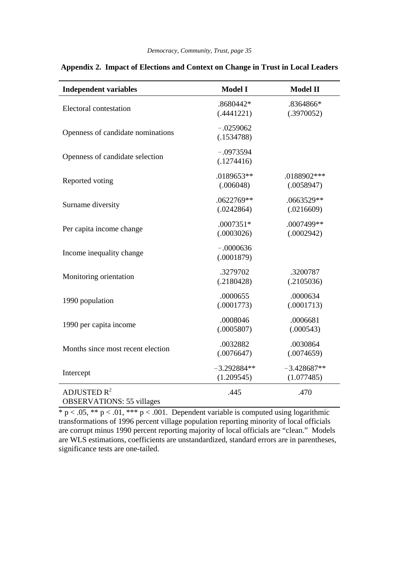| <b>Independent variables</b>                                | <b>Model I</b>         | <b>Model II</b> |
|-------------------------------------------------------------|------------------------|-----------------|
| Electoral contestation                                      | .8680442*              | .8364866*       |
|                                                             | (.4441221)             | (.3970052)      |
| Openness of candidate nominations                           | $-.0259062$            |                 |
|                                                             | (.1534788)             |                 |
| Openness of candidate selection                             | $-.0973594$            |                 |
|                                                             | (.1274416)             |                 |
| Reported voting                                             | .0189653**             | .0188902 ***    |
|                                                             | (.006048)              | (.0058947)      |
| Surname diversity                                           | .0622769**             | .0663529**      |
|                                                             | (.0242864)             | (.0216609)      |
| Per capita income change                                    | $.0007351*$            | .0007499**      |
|                                                             | (.0003026)             | (.0002942)      |
| Income inequality change                                    | $-.0000636$            |                 |
|                                                             | (.0001879)             |                 |
| Monitoring orientation                                      | .3279702               | .3200787        |
|                                                             |                        | (.2105036)      |
| 1990 population                                             | (.2180428)<br>.0000655 | .0000634        |
|                                                             | (.0001773)             | (.0001713)      |
| 1990 per capita income                                      | .0008046               | .0006681        |
|                                                             | (.0005807)             | (.000543)       |
| Months since most recent election                           | .0032882               | .0030864        |
|                                                             | (.0076647)             | (.0074659)      |
| Intercept                                                   | $-3.292884**$          | $-3.428687**$   |
|                                                             | (1.209545)             | (1.077485)      |
| ADJUSTED R <sup>2</sup><br><b>OBSERVATIONS: 55 villages</b> | .445                   | .470            |

# **Appendix 2. Impact of Elections and Context on Change in Trust in Local Leaders**

 $* p < .05, ** p < .01, ** p < .001$ . Dependent variable is computed using logarithmic transformations of 1996 percent village population reporting minority of local officials are corrupt minus 1990 percent reporting majority of local officials are "clean." Models are WLS estimations, coefficients are unstandardized, standard errors are in parentheses, significance tests are one-tailed.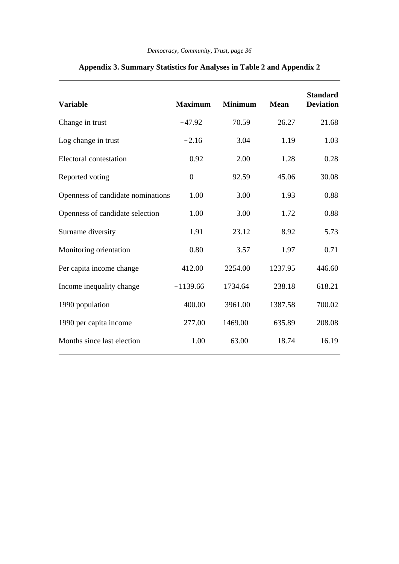| <b>Variable</b>                   | <b>Maximum</b>   | <b>Minimum</b> | <b>Mean</b> | <b>Standard</b><br><b>Deviation</b> |
|-----------------------------------|------------------|----------------|-------------|-------------------------------------|
| Change in trust                   | $-47.92$         | 70.59          | 26.27       | 21.68                               |
| Log change in trust               | $-2.16$          | 3.04           | 1.19        | 1.03                                |
| Electoral contestation            | 0.92             | 2.00           | 1.28        | 0.28                                |
| Reported voting                   | $\boldsymbol{0}$ | 92.59          | 45.06       | 30.08                               |
| Openness of candidate nominations | 1.00             | 3.00           | 1.93        | 0.88                                |
| Openness of candidate selection   | 1.00             | 3.00           | 1.72        | 0.88                                |
| Surname diversity                 | 1.91             | 23.12          | 8.92        | 5.73                                |
| Monitoring orientation            | 0.80             | 3.57           | 1.97        | 0.71                                |
| Per capita income change          | 412.00           | 2254.00        | 1237.95     | 446.60                              |
| Income inequality change          | $-1139.66$       | 1734.64        | 238.18      | 618.21                              |
| 1990 population                   | 400.00           | 3961.00        | 1387.58     | 700.02                              |
| 1990 per capita income            | 277.00           | 1469.00        | 635.89      | 208.08                              |
| Months since last election        | 1.00             | 63.00          | 18.74       | 16.19                               |

# **Appendix 3. Summary Statistics for Analyses in Table 2 and Appendix 2**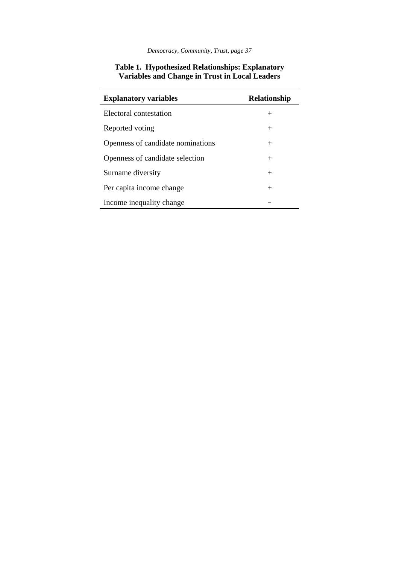| <b>Explanatory variables</b>      | Relationship |
|-----------------------------------|--------------|
| Electoral contestation            | $^{+}$       |
| Reported voting                   | $^{+}$       |
| Openness of candidate nominations | $^{+}$       |
| Openness of candidate selection   | $^{+}$       |
| Surname diversity                 | $^{+}$       |
| Per capita income change          | $^{+}$       |
| Income inequality change          |              |

# **Table 1. Hypothesized Relationships: Explanatory Variables and Change in Trust in Local Leaders**